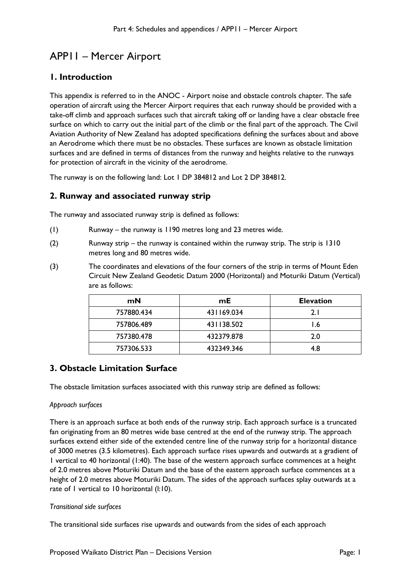# APP11 – Mercer Airport

# **1. Introduction**

This appendix is referred to in the ANOC - Airport noise and obstacle controls chapter. The safe operation of aircraft using the Mercer Airport requires that each runway should be provided with a take-off climb and approach surfaces such that aircraft taking off or landing have a clear obstacle free surface on which to carry out the initial part of the climb or the final part of the approach. The Civil Aviation Authority of New Zealand has adopted specifications defining the surfaces about and above an Aerodrome which there must be no obstacles. These surfaces are known as obstacle limitation surfaces and are defined in terms of distances from the runway and heights relative to the runways for protection of aircraft in the vicinity of the aerodrome.

The runway is on the following land: Lot 1 DP 384812 and Lot 2 DP 384812.

## **2. Runway and associated runway strip**

The runway and associated runway strip is defined as follows:

- (1) Runway the runway is 1190 metres long and 23 metres wide.
- (2) Runway strip the runway is contained within the runway strip. The strip is 1310 metres long and 80 metres wide.
- (3) The coordinates and elevations of the four corners of the strip in terms of Mount Eden Circuit New Zealand Geodetic Datum 2000 (Horizontal) and Moturiki Datum (Vertical) are as follows:

| mN         | mE.        | <b>Elevation</b> |
|------------|------------|------------------|
| 757880.434 | 431169.034 | 2. I             |
| 757806.489 | 431138.502 | 1.6              |
| 757380.478 | 432379.878 | 2.0              |
| 757306.533 | 432349.346 | 4.8              |

# **3. Obstacle Limitation Surface**

The obstacle limitation surfaces associated with this runway strip are defined as follows:

## *Approach surfaces*

There is an approach surface at both ends of the runway strip. Each approach surface is a truncated fan originating from an 80 metres wide base centred at the end of the runway strip. The approach surfaces extend either side of the extended centre line of the runway strip for a horizontal distance of 3000 metres (3.5 kilometres). Each approach surface rises upwards and outwards at a gradient of 1 vertical to 40 horizontal (1:40). The base of the western approach surface commences at a height of 2.0 metres above Moturiki Datum and the base of the eastern approach surface commences at a height of 2.0 metres above Moturiki Datum. The sides of the approach surfaces splay outwards at a rate of 1 vertical to 10 horizontal (l:10).

## *Transitional side surfaces*

The transitional side surfaces rise upwards and outwards from the sides of each approach